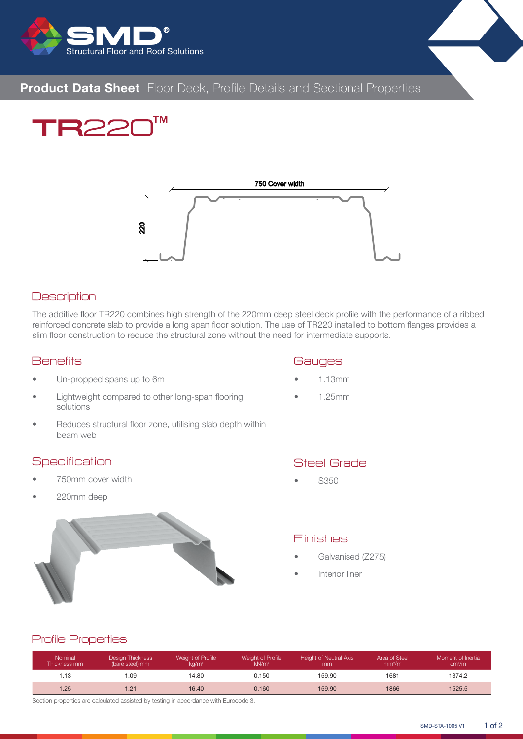

# **Product Data Sheet** Floor Deck, Profile Details and Sectional Properties

**TM** 



#### **Description**

The additive floor TR220 combines high strength of the 220mm deep steel deck profile with the performance of a ribbed reinforced concrete slab to provide a long span floor solution. The use of TR220 installed to bottom flanges provides a slim floor construction to reduce the structural zone without the need for intermediate supports.

### **Benefits**

- Un-propped spans up to 6m
- Lightweight compared to other long-span flooring solutions
- Reduces structural floor zone, utilising slab depth within beam web

#### **Specification**

- 750mm cover width
- 220mm deep

## **Gauges**

- 1.13mm
- 1.25mm



## Steel Grade

• S350

## Finishes

- Galvanised (Z275)
- Interior liner

## Profile Properties

| <b>Nominal</b><br>Thickness mm | <b>Design Thickness</b><br>(bare steel) mm | Weight of Profile<br>$k\alpha/m^2$ | Weight of Profile<br>kN/m <sup>2</sup> | <b>Height of Neutral Axis</b><br>mm | Area of Steel<br>mm <sup>2</sup> /m | Moment of Inertia<br>cm <sup>4</sup> /m |
|--------------------------------|--------------------------------------------|------------------------------------|----------------------------------------|-------------------------------------|-------------------------------------|-----------------------------------------|
| 13                             | .09                                        | 14.80                              | 0.150                                  | 159.90                              | 1681                                | 1374.2                                  |
| 1.25                           | .21                                        | 16.40                              | 0.160                                  | 159.90                              | 1866                                | 1525.5                                  |

Section properties are calculated assisted by testing in accordance with Eurocode 3.